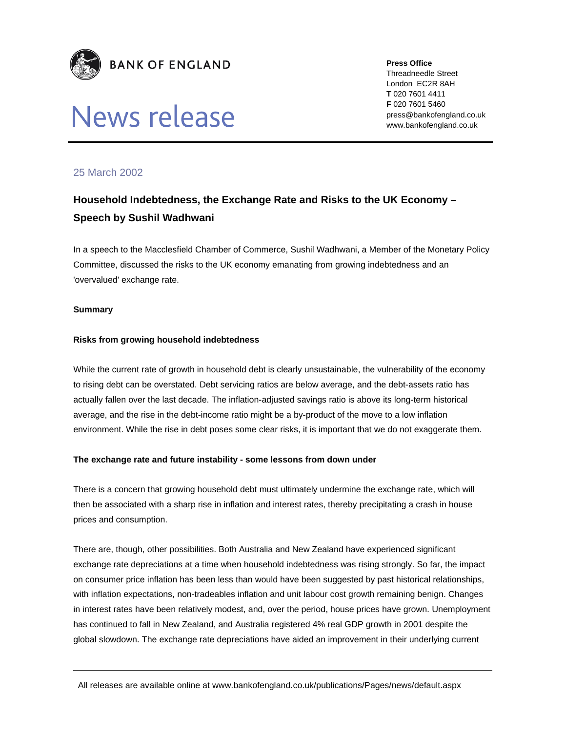

# News release

**Press Office**  Threadneedle Street London EC2R 8AH **T** 020 7601 4411 **F** 020 7601 5460 press@bankofengland.co.uk www.bankofengland.co.uk

### 25 March 2002

## **Household Indebtedness, the Exchange Rate and Risks to the UK Economy – Speech by Sushil Wadhwani**

In a speech to the Macclesfield Chamber of Commerce, Sushil Wadhwani, a Member of the Monetary Policy Committee, discussed the risks to the UK economy emanating from growing indebtedness and an 'overvalued' exchange rate.

#### **Summary**

#### **Risks from growing household indebtedness**

While the current rate of growth in household debt is clearly unsustainable, the vulnerability of the economy to rising debt can be overstated. Debt servicing ratios are below average, and the debt-assets ratio has actually fallen over the last decade. The inflation-adjusted savings ratio is above its long-term historical average, and the rise in the debt-income ratio might be a by-product of the move to a low inflation environment. While the rise in debt poses some clear risks, it is important that we do not exaggerate them.

#### **The exchange rate and future instability - some lessons from down under**

There is a concern that growing household debt must ultimately undermine the exchange rate, which will then be associated with a sharp rise in inflation and interest rates, thereby precipitating a crash in house prices and consumption.

There are, though, other possibilities. Both Australia and New Zealand have experienced significant exchange rate depreciations at a time when household indebtedness was rising strongly. So far, the impact on consumer price inflation has been less than would have been suggested by past historical relationships, with inflation expectations, non-tradeables inflation and unit labour cost growth remaining benign. Changes in interest rates have been relatively modest, and, over the period, house prices have grown. Unemployment has continued to fall in New Zealand, and Australia registered 4% real GDP growth in 2001 despite the global slowdown. The exchange rate depreciations have aided an improvement in their underlying current